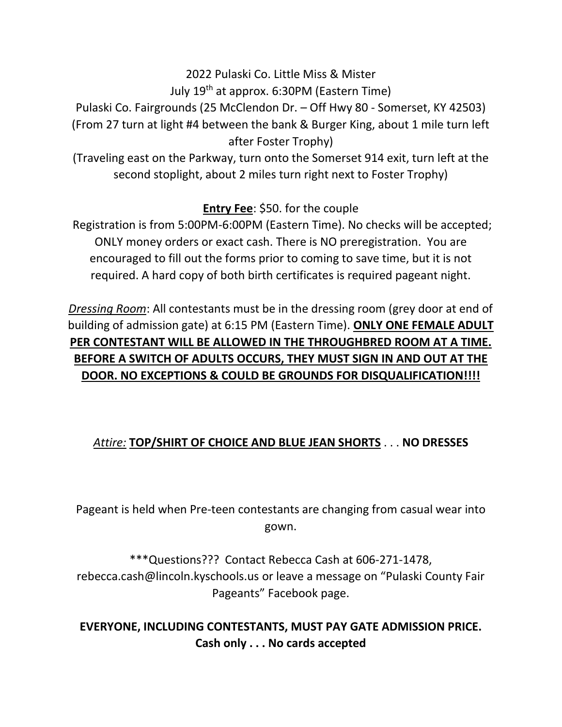# 2022 Pulaski Co. Little Miss & Mister July  $19<sup>th</sup>$  at approx. 6:30PM (Eastern Time)

Pulaski Co. Fairgrounds (25 McClendon Dr. – Off Hwy 80 - Somerset, KY 42503) (From 27 turn at light #4 between the bank & Burger King, about 1 mile turn left after Foster Trophy)

(Traveling east on the Parkway, turn onto the Somerset 914 exit, turn left at the second stoplight, about 2 miles turn right next to Foster Trophy)

## **Entry Fee**: \$50. for the couple

Registration is from 5:00PM-6:00PM (Eastern Time). No checks will be accepted; ONLY money orders or exact cash. There is NO preregistration. You are encouraged to fill out the forms prior to coming to save time, but it is not required. A hard copy of both birth certificates is required pageant night.

*Dressing Room*: All contestants must be in the dressing room (grey door at end of building of admission gate) at 6:15 PM (Eastern Time). **ONLY ONE FEMALE ADULT PER CONTESTANT WILL BE ALLOWED IN THE THROUGHBRED ROOM AT A TIME. BEFORE A SWITCH OF ADULTS OCCURS, THEY MUST SIGN IN AND OUT AT THE DOOR. NO EXCEPTIONS & COULD BE GROUNDS FOR DISQUALIFICATION!!!!**

## *Attire:* **TOP/SHIRT OF CHOICE AND BLUE JEAN SHORTS** . . . **NO DRESSES**

Pageant is held when Pre-teen contestants are changing from casual wear into gown.

\*\*\*Questions??? Contact Rebecca Cash at 606-271-1478, rebecca.cash@lincoln.kyschools.us or leave a message on "Pulaski County Fair Pageants" Facebook page.

#### **EVERYONE, INCLUDING CONTESTANTS, MUST PAY GATE ADMISSION PRICE. Cash only . . . No cards accepted**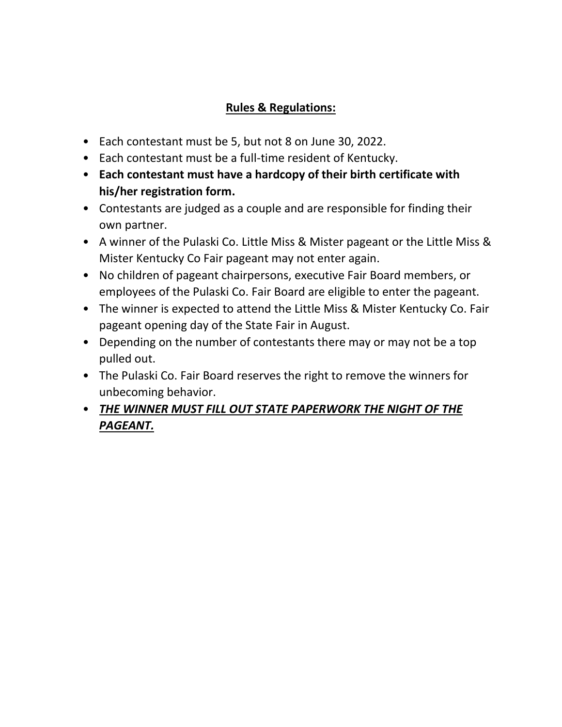### **Rules & Regulations:**

- Each contestant must be 5, but not 8 on June 30, 2022.
- Each contestant must be a full-time resident of Kentucky.
- **Each contestant must have a hardcopy of their birth certificate with his/her registration form.**
- Contestants are judged as a couple and are responsible for finding their own partner.
- A winner of the Pulaski Co. Little Miss & Mister pageant or the Little Miss & Mister Kentucky Co Fair pageant may not enter again.
- No children of pageant chairpersons, executive Fair Board members, or employees of the Pulaski Co. Fair Board are eligible to enter the pageant.
- The winner is expected to attend the Little Miss & Mister Kentucky Co. Fair pageant opening day of the State Fair in August.
- Depending on the number of contestants there may or may not be a top pulled out.
- The Pulaski Co. Fair Board reserves the right to remove the winners for unbecoming behavior.
- *THE WINNER MUST FILL OUT STATE PAPERWORK THE NIGHT OF THE PAGEANT.*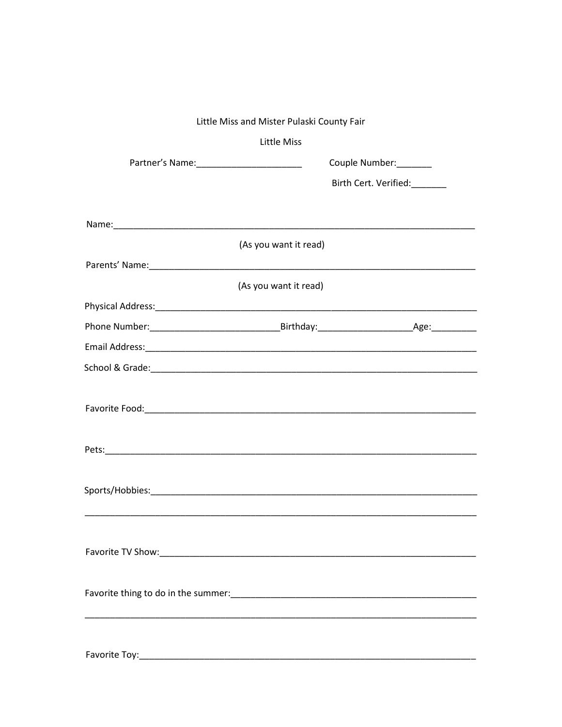| Little Miss and Mister Pulaski County Fair |                       |                        |  |  |
|--------------------------------------------|-----------------------|------------------------|--|--|
|                                            | <b>Little Miss</b>    |                        |  |  |
| Partner's Name:_________________________   |                       | Couple Number: _______ |  |  |
|                                            |                       | Birth Cert. Verified:  |  |  |
|                                            |                       |                        |  |  |
|                                            |                       |                        |  |  |
|                                            | (As you want it read) |                        |  |  |
|                                            |                       |                        |  |  |
|                                            | (As you want it read) |                        |  |  |
|                                            |                       |                        |  |  |
|                                            |                       |                        |  |  |
|                                            |                       |                        |  |  |
|                                            |                       |                        |  |  |
|                                            |                       |                        |  |  |
|                                            |                       |                        |  |  |
|                                            |                       |                        |  |  |
|                                            |                       |                        |  |  |
|                                            |                       |                        |  |  |
|                                            |                       |                        |  |  |
|                                            |                       |                        |  |  |
|                                            |                       |                        |  |  |
|                                            |                       |                        |  |  |
|                                            |                       |                        |  |  |
|                                            |                       |                        |  |  |
|                                            |                       |                        |  |  |
|                                            |                       |                        |  |  |
|                                            |                       |                        |  |  |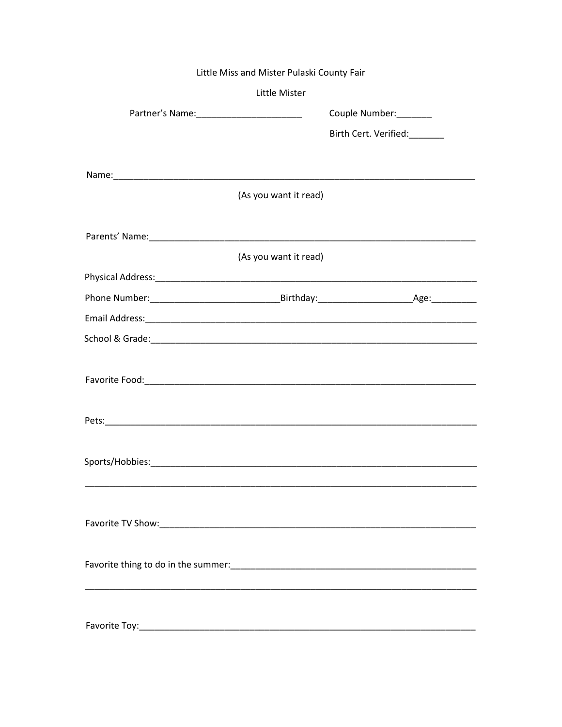| Little Miss and Mister Pulaski County Fair |                       |
|--------------------------------------------|-----------------------|
| Little Mister                              |                       |
|                                            | Couple Number:_______ |
|                                            | Birth Cert. Verified: |
|                                            |                       |
|                                            |                       |
| (As you want it read)                      |                       |
|                                            |                       |
|                                            |                       |
| (As you want it read)                      |                       |
|                                            |                       |
|                                            |                       |
|                                            |                       |
|                                            |                       |
|                                            |                       |
|                                            |                       |
|                                            |                       |
|                                            |                       |
|                                            |                       |
|                                            |                       |
|                                            |                       |
|                                            |                       |
|                                            |                       |
|                                            |                       |
|                                            |                       |
|                                            |                       |
|                                            |                       |
|                                            |                       |
|                                            |                       |